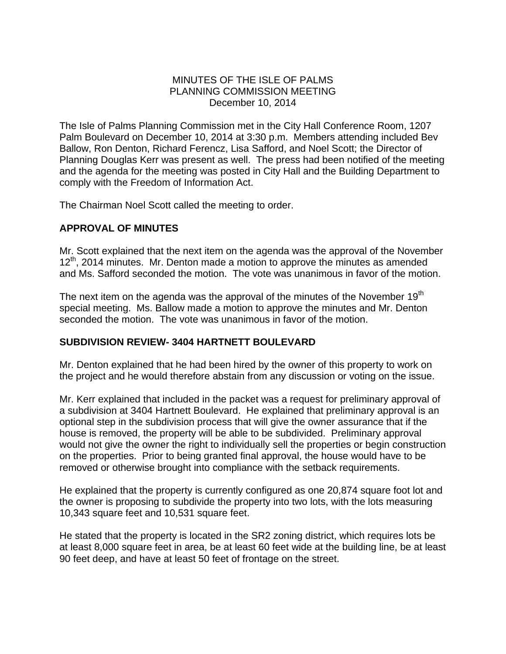### MINUTES OF THE ISLE OF PALMS PLANNING COMMISSION MEETING December 10, 2014

The Isle of Palms Planning Commission met in the City Hall Conference Room, 1207 Palm Boulevard on December 10, 2014 at 3:30 p.m. Members attending included Bev Ballow, Ron Denton, Richard Ferencz, Lisa Safford, and Noel Scott; the Director of Planning Douglas Kerr was present as well. The press had been notified of the meeting and the agenda for the meeting was posted in City Hall and the Building Department to comply with the Freedom of Information Act.

The Chairman Noel Scott called the meeting to order.

# **APPROVAL OF MINUTES**

Mr. Scott explained that the next item on the agenda was the approval of the November  $12<sup>th</sup>$ , 2014 minutes. Mr. Denton made a motion to approve the minutes as amended and Ms. Safford seconded the motion. The vote was unanimous in favor of the motion.

The next item on the agenda was the approval of the minutes of the November  $19<sup>th</sup>$ special meeting. Ms. Ballow made a motion to approve the minutes and Mr. Denton seconded the motion. The vote was unanimous in favor of the motion.

## **SUBDIVISION REVIEW- 3404 HARTNETT BOULEVARD**

Mr. Denton explained that he had been hired by the owner of this property to work on the project and he would therefore abstain from any discussion or voting on the issue.

Mr. Kerr explained that included in the packet was a request for preliminary approval of a subdivision at 3404 Hartnett Boulevard. He explained that preliminary approval is an optional step in the subdivision process that will give the owner assurance that if the house is removed, the property will be able to be subdivided. Preliminary approval would not give the owner the right to individually sell the properties or begin construction on the properties. Prior to being granted final approval, the house would have to be removed or otherwise brought into compliance with the setback requirements.

He explained that the property is currently configured as one 20,874 square foot lot and the owner is proposing to subdivide the property into two lots, with the lots measuring 10,343 square feet and 10,531 square feet.

He stated that the property is located in the SR2 zoning district, which requires lots be at least 8,000 square feet in area, be at least 60 feet wide at the building line, be at least 90 feet deep, and have at least 50 feet of frontage on the street.